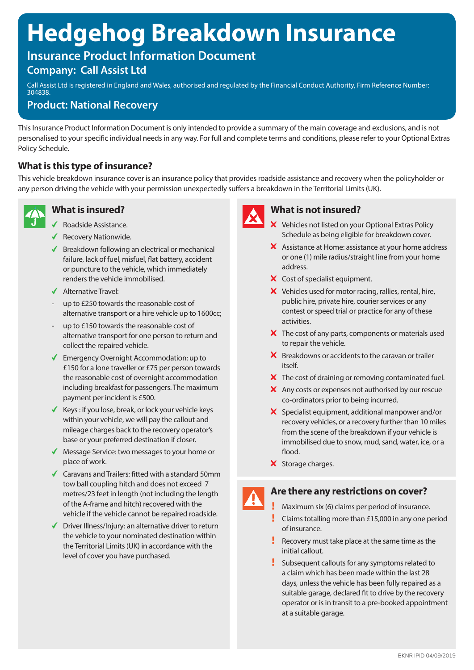# **Hedgehog Breakdown Insurance**

# **Insurance Product Information Document**

## **Company: Call Assist Ltd**

Call Assist Ltd is registered in England and Wales, authorised and regulated by the Financial Conduct Authority, Firm Reference Number: 304838.

### **Product: National Recovery**

This Insurance Product Information Document is only intended to provide a summary of the main coverage and exclusions, and is not personalised to your specific individual needs in any way. For full and complete terms and conditions, please refer to your Optional Extras Policy Schedule.

### **What is this type of insurance?**

This vehicle breakdown insurance cover is an insurance policy that provides roadside assistance and recovery when the policyholder or any person driving the vehicle with your permission unexpectedly suffers a breakdown in the Territorial Limits (UK).



### **What is insured?**

- ◆ Roadside Assistance.
- ◆ Recovery Nationwide.
- $\blacklozenge$  Breakdown following an electrical or mechanical failure, lack of fuel, misfuel, flat battery, accident or puncture to the vehicle, which immediately renders the vehicle immobilised.
- ◆ Alternative Travel·
- up to £250 towards the reasonable cost of alternative transport or a hire vehicle up to 1600cc;
- up to £150 towards the reasonable cost of alternative transport for one person to return and collect the repaired vehicle.
- Emergency Overnight Accommodation: up to £150 for a lone traveller or £75 per person towards the reasonable cost of overnight accommodation including breakfast for passengers. The maximum payment per incident is £500.
- Keys : if you lose, break, or lock your vehicle keys within your vehicle, we will pay the callout and mileage charges back to the recovery operator's base or your preferred destination if closer.
- ◆ Message Service: two messages to your home or place of work.
- $\triangleleft$  Caravans and Trailers: fitted with a standard 50mm tow ball coupling hitch and does not exceed 7 metres/23 feet in length (not including the length of the A-frame and hitch) recovered with the vehicle if the vehicle cannot be repaired roadside.
- $\blacklozenge$  Driver Illness/Injury: an alternative driver to return the vehicle to your nominated destination within the Territorial Limits (UK) in accordance with the level of cover you have purchased.



### **What is not insured?**

- X Vehicles not listed on your Optional Extras Policy Schedule as being eligible for breakdown cover.
- X Assistance at Home: assistance at your home address or one (1) mile radius/straight line from your home address.
- X Cost of specialist equipment.
- X Vehicles used for motor racing, rallies, rental, hire, public hire, private hire, courier services or any contest or speed trial or practice for any of these activities.
- $\boldsymbol{\times}$  The cost of any parts, components or materials used to repair the vehicle.
- $\boldsymbol{X}$  Breakdowns or accidents to the caravan or trailer itself.
- X The cost of draining or removing contaminated fuel.
- X Any costs or expenses not authorised by our rescue co-ordinators prior to being incurred.
- X Specialist equipment, additional manpower and/or recovery vehicles, or a recovery further than 10 miles from the scene of the breakdown if your vehicle is immobilised due to snow, mud, sand, water, ice, or a flood.
- X Storage charges.

### **Are there any restrictions on cover?**

Maximum six (6) claims per period of insurance.

- Claims totalling more than £15,000 in any one period of insurance.
- Recovery must take place at the same time as the initial callout.
- Subsequent callouts for any symptoms related to a claim which has been made within the last 28 days, unless the vehicle has been fully repaired as a suitable garage, declared fit to drive by the recovery operator or is in transit to a pre-booked appointment at a suitable garage.